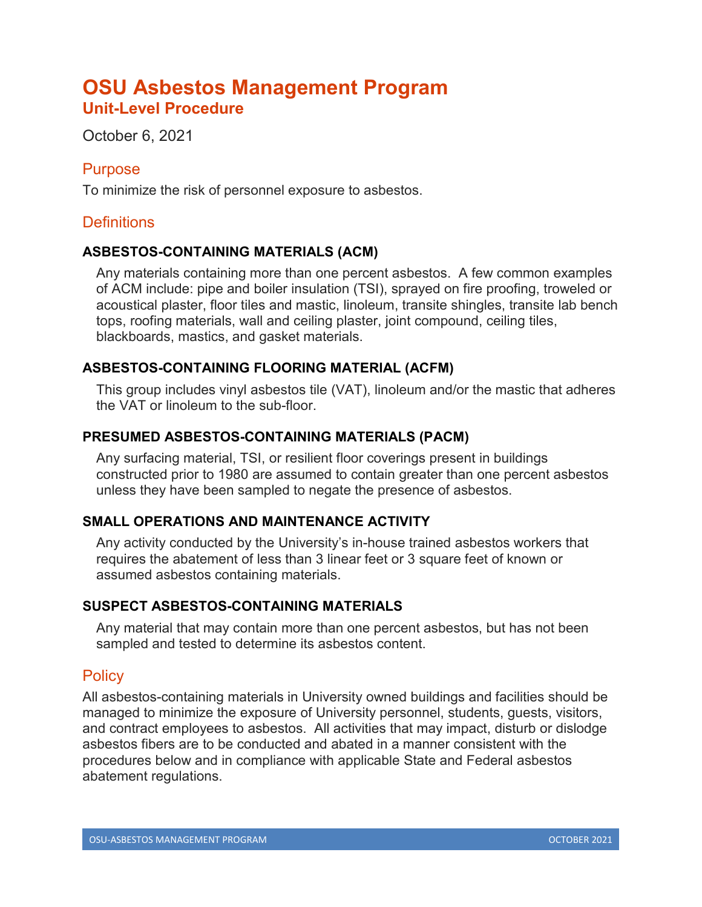# **OSU Asbestos Management Program Unit-Level Procedure**

October 6, 2021

## Purpose

To minimize the risk of personnel exposure to asbestos.

# **Definitions**

## **ASBESTOS-CONTAINING MATERIALS (ACM)**

Any materials containing more than one percent asbestos. A few common examples of ACM include: pipe and boiler insulation (TSI), sprayed on fire proofing, troweled or acoustical plaster, floor tiles and mastic, linoleum, transite shingles, transite lab bench tops, roofing materials, wall and ceiling plaster, joint compound, ceiling tiles, blackboards, mastics, and gasket materials.

#### **ASBESTOS-CONTAINING FLOORING MATERIAL (ACFM)**

This group includes vinyl asbestos tile (VAT), linoleum and/or the mastic that adheres the VAT or linoleum to the sub-floor.

#### **PRESUMED ASBESTOS-CONTAINING MATERIALS (PACM)**

Any surfacing material, TSI, or resilient floor coverings present in buildings constructed prior to 1980 are assumed to contain greater than one percent asbestos unless they have been sampled to negate the presence of asbestos.

## **SMALL OPERATIONS AND MAINTENANCE ACTIVITY**

Any activity conducted by the University's in-house trained asbestos workers that requires the abatement of less than 3 linear feet or 3 square feet of known or assumed asbestos containing materials.

#### **SUSPECT ASBESTOS-CONTAINING MATERIALS**

Any material that may contain more than one percent asbestos, but has not been sampled and tested to determine its asbestos content.

## **Policy**

All asbestos-containing materials in University owned buildings and facilities should be managed to minimize the exposure of University personnel, students, guests, visitors, and contract employees to asbestos. All activities that may impact, disturb or dislodge asbestos fibers are to be conducted and abated in a manner consistent with the procedures below and in compliance with applicable State and Federal asbestos abatement regulations.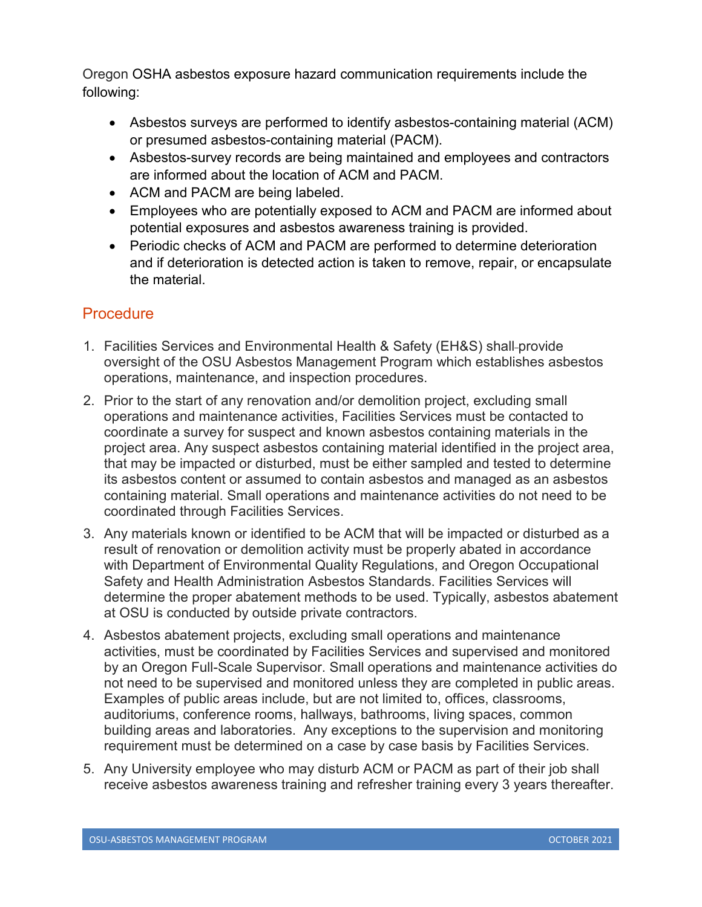Oregon OSHA asbestos exposure hazard communication requirements include the following:

- Asbestos surveys are performed to identify asbestos-containing material (ACM) or presumed asbestos-containing material (PACM).
- Asbestos-survey records are being maintained and employees and contractors are informed about the location of ACM and PACM.
- ACM and PACM are being labeled.
- Employees who are potentially exposed to ACM and PACM are informed about potential exposures and asbestos awareness training is provided.
- Periodic checks of ACM and PACM are performed to determine deterioration and if deterioration is detected action is taken to remove, repair, or encapsulate the material.

## **Procedure**

- 1. Facilities Services and Environmental Health & Safety (EH&S) shall provide oversight of the OSU Asbestos Management Program which establishes asbestos operations, maintenance, and inspection procedures.
- 2. Prior to the start of any renovation and/or demolition project, excluding small operations and maintenance activities, Facilities Services must be contacted to coordinate a survey for suspect and known asbestos containing materials in the project area. Any suspect asbestos containing material identified in the project area, that may be impacted or disturbed, must be either sampled and tested to determine its asbestos content or assumed to contain asbestos and managed as an asbestos containing material. Small operations and maintenance activities do not need to be coordinated through Facilities Services.
- 3. Any materials known or identified to be ACM that will be impacted or disturbed as a result of renovation or demolition activity must be properly abated in accordance with Department of Environmental Quality Regulations, and Oregon Occupational Safety and Health Administration Asbestos Standards. Facilities Services will determine the proper abatement methods to be used. Typically, asbestos abatement at OSU is conducted by outside private contractors.
- 4. Asbestos abatement projects, excluding small operations and maintenance activities, must be coordinated by Facilities Services and supervised and monitored by an Oregon Full-Scale Supervisor. Small operations and maintenance activities do not need to be supervised and monitored unless they are completed in public areas. Examples of public areas include, but are not limited to, offices, classrooms, auditoriums, conference rooms, hallways, bathrooms, living spaces, common building areas and laboratories. Any exceptions to the supervision and monitoring requirement must be determined on a case by case basis by Facilities Services.
- 5. Any University employee who may disturb ACM or PACM as part of their job shall receive asbestos awareness training and refresher training every 3 years thereafter.